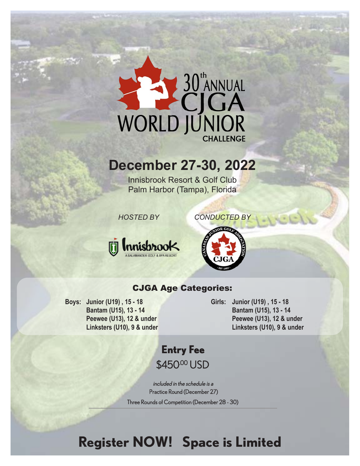# **ENERGY SURVEYS**

# **December 27-30, 2022**

Innisbrook Resort & Golf Club Palm Harbor (Tampa), Florida

 *HOSTED BY CONDUCTED BY* 





### CJGA Age Categories:

**Boys: Junior (U19) , 15 - 18 Bantam (U15), 13 - 14 Peewee (U13), 12 & under Linksters (U10), 9 & under** **Girls: Junior (U19) , 15 - 18 Bantam (U15), 13 - 14 Peewee (U13), 12 & under Linksters (U10), 9 & under**

## **Entry Fee** \$450.00 USD

included in the schedule is a Practice Round (December 27) Three Rounds of Competition (December 28 - 30)

# **Register NOW! Space is Limited**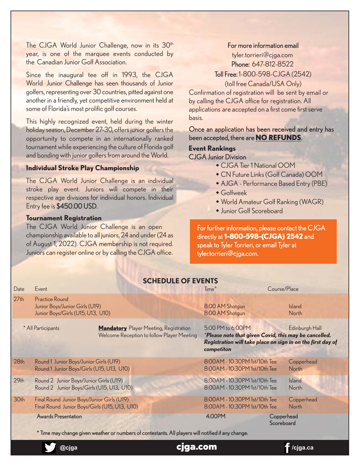The CJGA World Junior Challenge, now in its 30<sup>th</sup> year, is one of the marquee events conducted by the Canadian Junior Golf Association.

Since the inaugural tee off in 1993, the CJGA World Junior Challenge has seen thousands of Junior golfers, representing over 30 countries, pitted against one another in a friendly, yet competitive environment held at some of Florida's most prolific golf courses.

This highly recognized event, held during the winter holiday season, December 27-30, offers junior golfers the opportunity to compete in an internationally ranked tournament while experiencing the culture of Florida golf and bonding with junior golfers from around the World.

#### **Individual Stroke Play Championship**

The CJGA World Junior Challenge is an individual stroke play event. Juniors will compete in their respective age divisions for individual honors. Individual Entry fee is \$450.00 USD.

#### **Tournament Registration**

The CJGA World Junior Challenge is an open championship available to all juniors, 24 and under (24 as of August 1, 2022). CJGA membership is not required. Juniors can register online or by calling the CJGA office.

#### For more information email

tyler.torrieri@cjga.com Phone: 647-812-8522 Toll Free: 1-800-598-CJGA (2542)

(toll free Canada/USA Only)

Confirmation of registration will be sent by email or by calling the CJGA office for registration. All applications are accepted on a first come first serve basis.

Once an application has been received and entry has been accepted, there are **NO REFUNDS**.

#### **Event Rankings**  CJGA Junior Division

- CJGA Tier 1 National OOM
- w CN Future Links (Golf Canada) OOM
- AJGA Performance Based Entry (PBE)
- $\bullet$  Golfweek
- World Amateur Golf Ranking (WAGR)
- Junior Golf Scoreboard

For further information, please contact the CJGA directly at **1-800-598-(CJGA) 2542** and speak to Tyler Torrieri, or email Tyler at tyler.torrieri@cjga.com.

| <b>SCHEDULE OF EVENTS</b>                                                                                         |                                                                                                                                   |  |                                                                                                                                                                           |                                                                    |  |                               |  |  |  |
|-------------------------------------------------------------------------------------------------------------------|-----------------------------------------------------------------------------------------------------------------------------------|--|---------------------------------------------------------------------------------------------------------------------------------------------------------------------------|--------------------------------------------------------------------|--|-------------------------------|--|--|--|
| Date                                                                                                              | Event                                                                                                                             |  |                                                                                                                                                                           | Course/Place<br>Time <sup>*</sup>                                  |  |                               |  |  |  |
| 27 <sub>th</sub>                                                                                                  | <b>Practice Round</b><br>Junior Boys/Junior Girls (U19)<br>Junior Boys/Girls (U15, U13, U10)                                      |  |                                                                                                                                                                           | 8:00 AM Shotgun<br>8:00 AM Shotgun                                 |  | <b>Island</b><br><b>North</b> |  |  |  |
| * All Participants<br><b>Mandatory</b> Player Meeting, Registration<br>Welcome Reception to follow Player Meeting |                                                                                                                                   |  | 5:00 PM to 6:00PM<br>Edinburgh Hall<br>*Please note that given Covid, this may be cancelled.<br>Registration will take place on sign in on the first day of<br>competiton |                                                                    |  |                               |  |  |  |
| 28 <sub>th</sub>                                                                                                  | Round 1 Junior Boys/Junior Girls (U19)<br>Round 1 Junior Boys/Girls (U15, U13, U10)                                               |  |                                                                                                                                                                           | 8:00AM - 10:30PM 1st/10th Tee<br>8:00 AM - 10:30 PM 1st/10th Tee   |  | Copperhead<br><b>North</b>    |  |  |  |
| 29 <sub>th</sub>                                                                                                  | Round 2 Junior Boys/Junior Girls (U19)<br>Round 2 Junior Boys/Girls (U15, U13, U10)                                               |  |                                                                                                                                                                           | 8:00 AM - 10:30 PM 1st/10th Tee<br>8:00 AM - 10:30 PM 1st/10th Tee |  | <b>Island</b><br>North        |  |  |  |
| 30th                                                                                                              | Final Round Junior Boys/Junior Girls (U19)<br>Final Round Junior Boys/Girls (U15, U13, U10)                                       |  |                                                                                                                                                                           | 8:00AM - 10:30PM 1st/10th Tee<br>8:00 AM - 10:30 PM 1st/10th Tee   |  | Copperhead<br><b>North</b>    |  |  |  |
|                                                                                                                   | <b>Awards Presentation</b><br>* Time may change given weather or numbers of contestants. All players will notified if any change. |  | 4:00PM                                                                                                                                                                    | Copperhead<br>Scoreboard                                           |  |                               |  |  |  |
|                                                                                                                   | @ciga                                                                                                                             |  | qa.com                                                                                                                                                                    |                                                                    |  | ciga.ca/                      |  |  |  |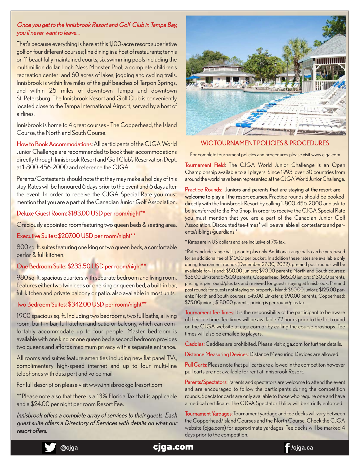#### Once you get to the Innisbrook Resort and Golf Club in Tampa Bay, you'll never want to leave…

That's because everything is here at this 1,100-acre resort: superlative golf on four different courses; fine dining in a host of restaurants; tennis on 11 beautifully maintained courts; six swimming pools including the multimillion dollar Loch Ness Monster Pool; a complete children's recreation center; and 60 acres of lakes, jogging and cycling trails. Innisbrook is within five miles of the gulf beaches of Tarpon Springs, and within 25 miles of downtown Tampa and downtown St. Petersburg. The Innisbrook Resort and Golf Club is conveniently located close to the Tampa International Airport, served by a host of airlines.

Innisbrook is home to 4 great courses - The Copperhead, the Island Course, the North and South Course.

How to Book Accommodations: All participants of the CJGA World Junior Challenge are recommended to book their accommodations directly through Innisbrook Resort and Golf Club's Reservation Dept. at 1-800-456-2000 and reference the CJGA.

Parents/Contestants should note that they may make a holiday of this stay. Rates will be honoured 6 days prior to the event and 6 days after the event. In order to receive the CJGA Special Rate you must mention that you are a part of the Canadian Junior Golf Association.

#### Deluxe Guest Room: \$183.00 USD per room/night\*\*

Graciously appointed room featuring two queen beds & seating area.

#### Executive Suites: \$207.00 USD per room/night\*\*

800 sq. ft. suites featuring one king or two queen beds, a comfortable parlor & full kitchen.

#### One Bedroom Suite: \$233.50 USD per room/night\*\*

980 sq. ft. spacious quarters with separate bedroom and living room. Features either two twin beds or one king or queen bed, a built-in bar, full kitchen and private balcony or patio. also available in most units.

#### Two Bedroom Suites: \$342.00 USD per room/night\*\*

1,900 spacious sq. ft. Including two bedrooms, two full baths, a living room, built-in bar, full kitchen and patio or balcony, which can comfortably accommodate up to four people. Master bedroom is available with one king or one queen bed a second bedroom provides two queens and affords maximum privacy with a separate entrance.

All rooms and suites feature amenities including new flat panel TVs, complimentary high-speed internet and up to four multi-line telephones with data port and voice mail.

For full description please visit [www.innisbrookgolfresort.com](http://www.innisbrookgolfresort.com) 

\*\*Please note also that there is a 13% Florida Tax that is applicable and a \$24.00 per night per room Resort Fee.

Innisbrook offers a complete array of services to their guests. Each guest suite offers a Directory of Services with details on what our resort offers.



#### WJC TOURNAMENT POLICIES & PROCEDURES

For complete tournament policies and procedures please visit www.cjga.com

Tournament Field: The CJGA World Junior Challenge is an Open Championship available to all players. Since 1993, over 30 countries from around the world have been represented at the CJGA World Junior Challenge.

Practice Rounds: Juniors and parents that are staying at the resort are welcome to play all the resort courses. Practice rounds should be booked directly with the Innisbrook Resort by calling 1-800-456-2000 and ask to be transferred to the Pro Shop. In order to receive the CJGA Special Rate you must mention that you are a part of the Canadian Junior Golf Association. Discounted tee-times\* will be available all contestants and parents/siblings/guardians.\*

\* Rates are in US dollars and are inclusive of 7% tax.

\*Rates include range balls prior to play only. Additional range balls can be purchased for an additional fee of \$10.00 per bucket. In addition these rates are available only during tournament rounds (December 27-30, 2022), pre and post rounds will be available for- Island: \$50.00 juniors; \$90.00 parents; North and South courses: \$35.00 Linksters; \$75.00 parents, Copperhead: \$65.00 juniors; \$130.00 parents, pricing is per round/plus tax and reseived for guests staying at lnnisbrook. Pre and post rounds for guests not staying on property- Island: \$60.00 juniors; \$125.00 parents; North and South courses: \$45.00 Linksters; \$90.00 parents, Copperhead: \$75.00juniors; \$180.00 parents, pricing is per round/plus tax.

Tournament Tee Times: It is the responsibility of the participant to be aware of their tee time. Tee times will be available 72 hours prior to the first round on the CJGA website at [cjga.com](http://cjga.com) or by calling the course proshops. Tee times will also be emailed to players.

Caddies: Caddies are prohibited. Please visit [cjga.com](http://cjga.com) for further details.

Distance Measuring Devices: Distance Measuring Devices are allowed.

Pull Carts: Please note that pull carts are allowed in the competiton however pull carts are not available for rent at Innisbrook Resort.

Parents/Spectators: Parents and spectators are welcome to attend the event and are encouraged to follow the participants during the competition rounds. Spectator carts are only available to those who require one and have a medical certificate. The CJGA Spectator Policy will be strictly enforced.

Tournament Yardages: Tournament yardage and tee decks will vary between the Copperhead/Island Courses and the North Course. Check the CJGA website (cjga.com) for approximate yardages. Tee decks will be marked 4 days prior to the competition.